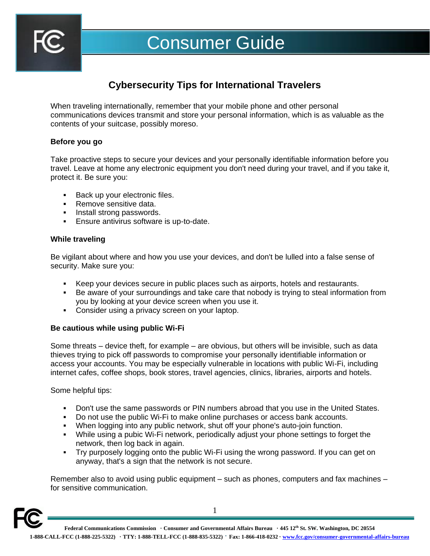

# Consumer Guide

# **Cybersecurity Tips for International Travelers**

When traveling internationally, remember that your mobile phone and other personal communications devices transmit and store your personal information, which is as valuable as the contents of your suitcase, possibly moreso.

# **Before you go**

Take proactive steps to secure your devices and your personally identifiable information before you travel. Leave at home any electronic equipment you don't need during your travel, and if you take it, protect it. Be sure you:

- Back up your electronic files.
- Remove sensitive data.
- **·** Install strong passwords.
- **Ensure antivirus software is up-to-date.**

# **While traveling**

Be vigilant about where and how you use your devices, and don't be lulled into a false sense of security. Make sure you:

- **EXECT** Keep your devices secure in public places such as airports, hotels and restaurants.
- Be aware of your surroundings and take care that nobody is trying to steal information from you by looking at your device screen when you use it.
- **Consider using a privacy screen on your laptop.**

# **Be cautious while using public Wi-Fi**

Some threats – device theft, for example – are obvious, but others will be invisible, such as data thieves trying to pick off passwords to compromise your personally identifiable information or access your accounts. You may be especially vulnerable in locations with public Wi-Fi, including internet cafes, coffee shops, book stores, travel agencies, clinics, libraries, airports and hotels.

Some helpful tips:

- **•** Don't use the same passwords or PIN numbers abroad that you use in the United States.
- Do not use the public Wi-Fi to make online purchases or access bank accounts.
- When logging into any public network, shut off your phone's auto-join function.
- While using a pubic Wi-Fi network, periodically adjust your phone settings to forget the network, then log back in again.
- Try purposely logging onto the public Wi-Fi using the wrong password. If you can get on anyway, that's a sign that the network is not secure.

Remember also to avoid using public equipment – such as phones, computers and fax machines – for sensitive communication.